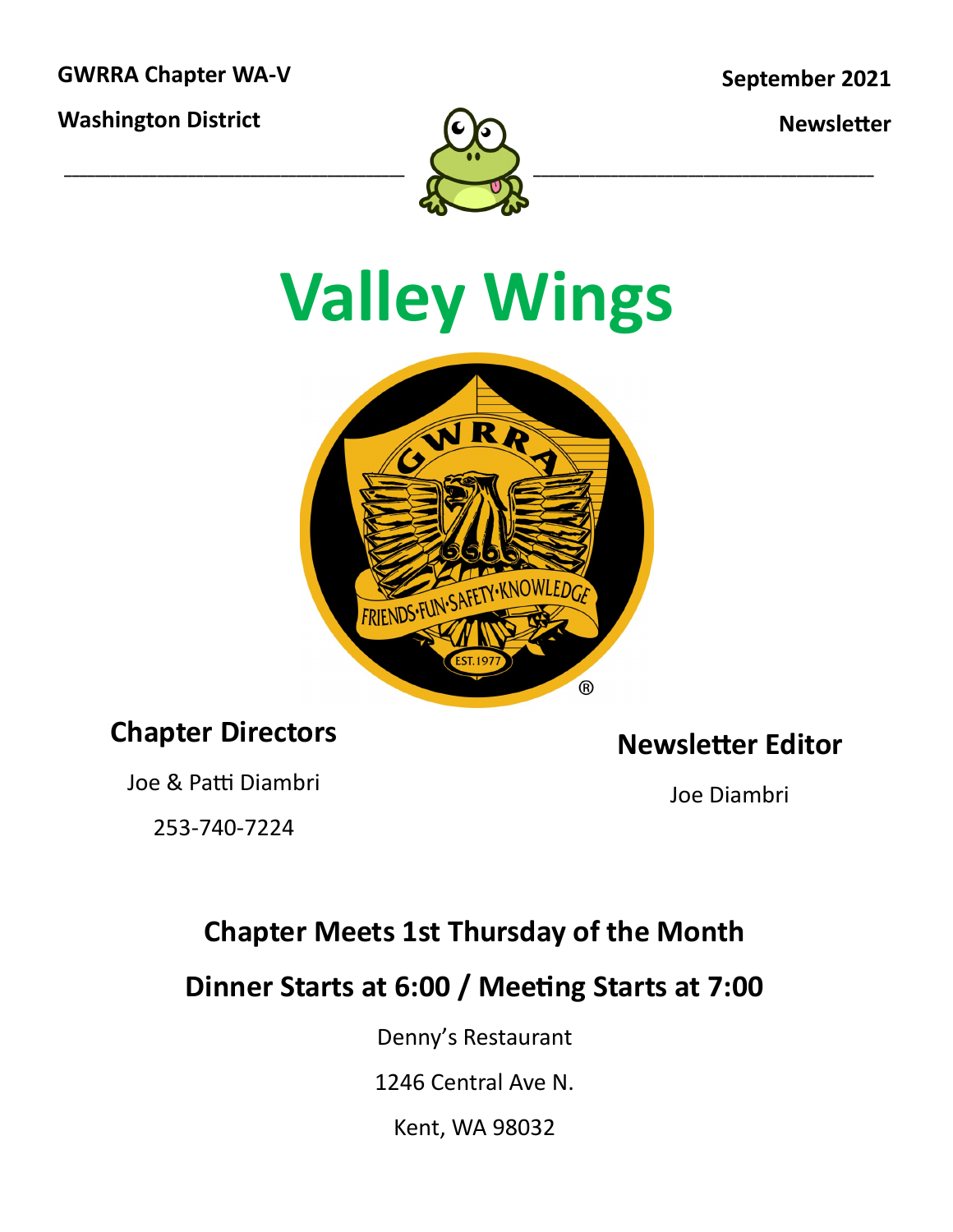**GWRRA Chapter WA-V**

**Washington District**

**Newsletter**



# **Valley Wings**



### **Chapter Directors**

Joe & Patti Diambri

253-740-7224

**Newsletter Editor**

Joe Diambri

### **Chapter Meets 1st Thursday of the Month**

**Dinner Starts at 6:00 / Meeting Starts at 7:00**

Denny's Restaurant

1246 Central Ave N.

Kent, WA 98032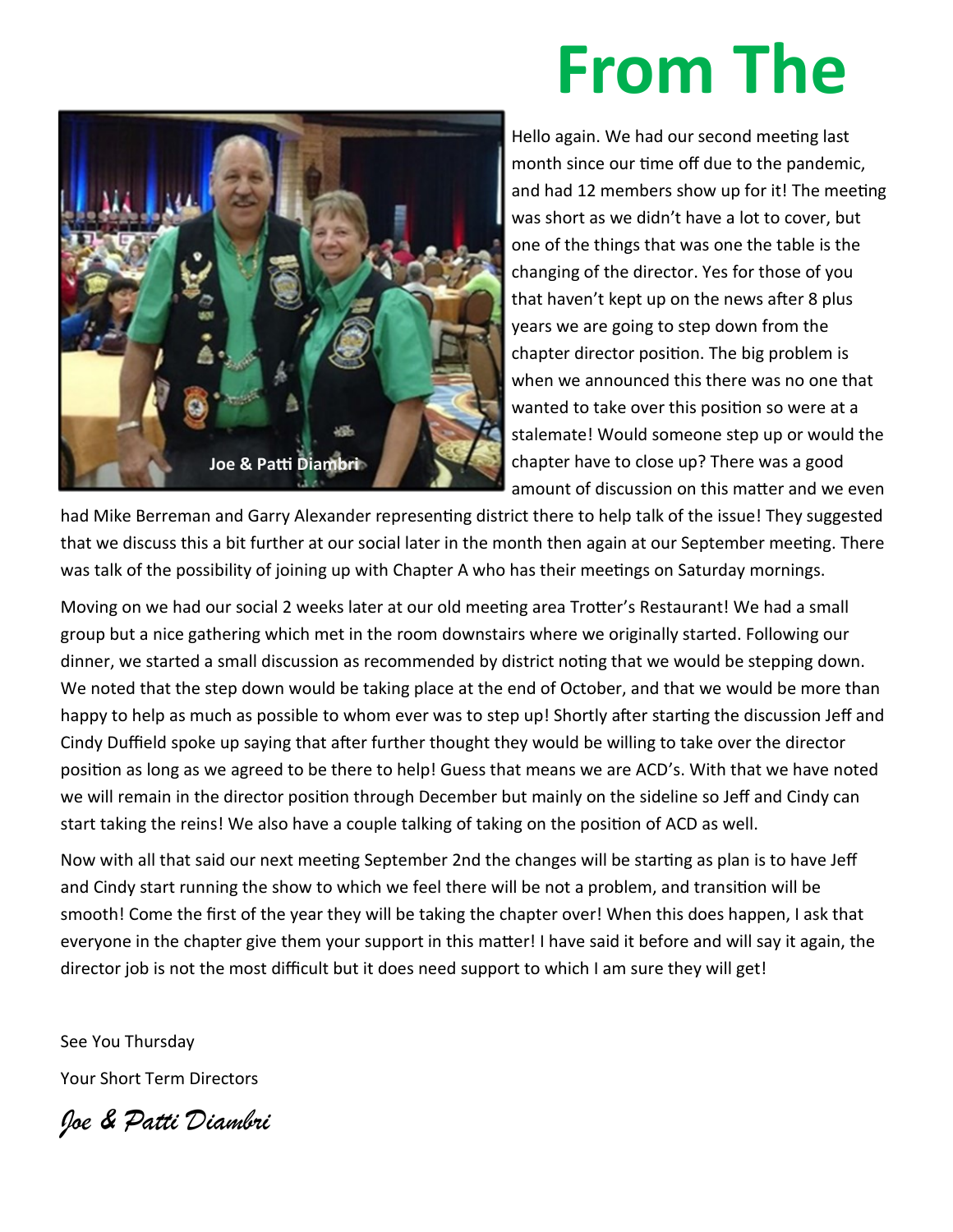## **From The**



Hello again. We had our second meeting last month since our time off due to the pandemic, and had 12 members show up for it! The meeting was short as we didn't have a lot to cover, but one of the things that was one the table is the changing of the director. Yes for those of you that haven't kept up on the news after 8 plus years we are going to step down from the chapter director position. The big problem is when we announced this there was no one that wanted to take over this position so were at a stalemate! Would someone step up or would the chapter have to close up? There was a good amount of discussion on this matter and we even

had Mike Berreman and Garry Alexander representing district there to help talk of the issue! They suggested that we discuss this a bit further at our social later in the month then again at our September meeting. There was talk of the possibility of joining up with Chapter A who has their meetings on Saturday mornings.

Moving on we had our social 2 weeks later at our old meeting area Trotter's Restaurant! We had a small group but a nice gathering which met in the room downstairs where we originally started. Following our dinner, we started a small discussion as recommended by district noting that we would be stepping down. We noted that the step down would be taking place at the end of October, and that we would be more than happy to help as much as possible to whom ever was to step up! Shortly after starting the discussion Jeff and Cindy Duffield spoke up saying that after further thought they would be willing to take over the director position as long as we agreed to be there to help! Guess that means we are ACD's. With that we have noted we will remain in the director position through December but mainly on the sideline so Jeff and Cindy can start taking the reins! We also have a couple talking of taking on the position of ACD as well.

Now with all that said our next meeting September 2nd the changes will be starting as plan is to have Jeff and Cindy start running the show to which we feel there will be not a problem, and transition will be smooth! Come the first of the year they will be taking the chapter over! When this does happen, I ask that everyone in the chapter give them your support in this matter! I have said it before and will say it again, the director job is not the most difficult but it does need support to which I am sure they will get!

See You Thursday Your Short Term Directors

*Joe & Patti Diambri*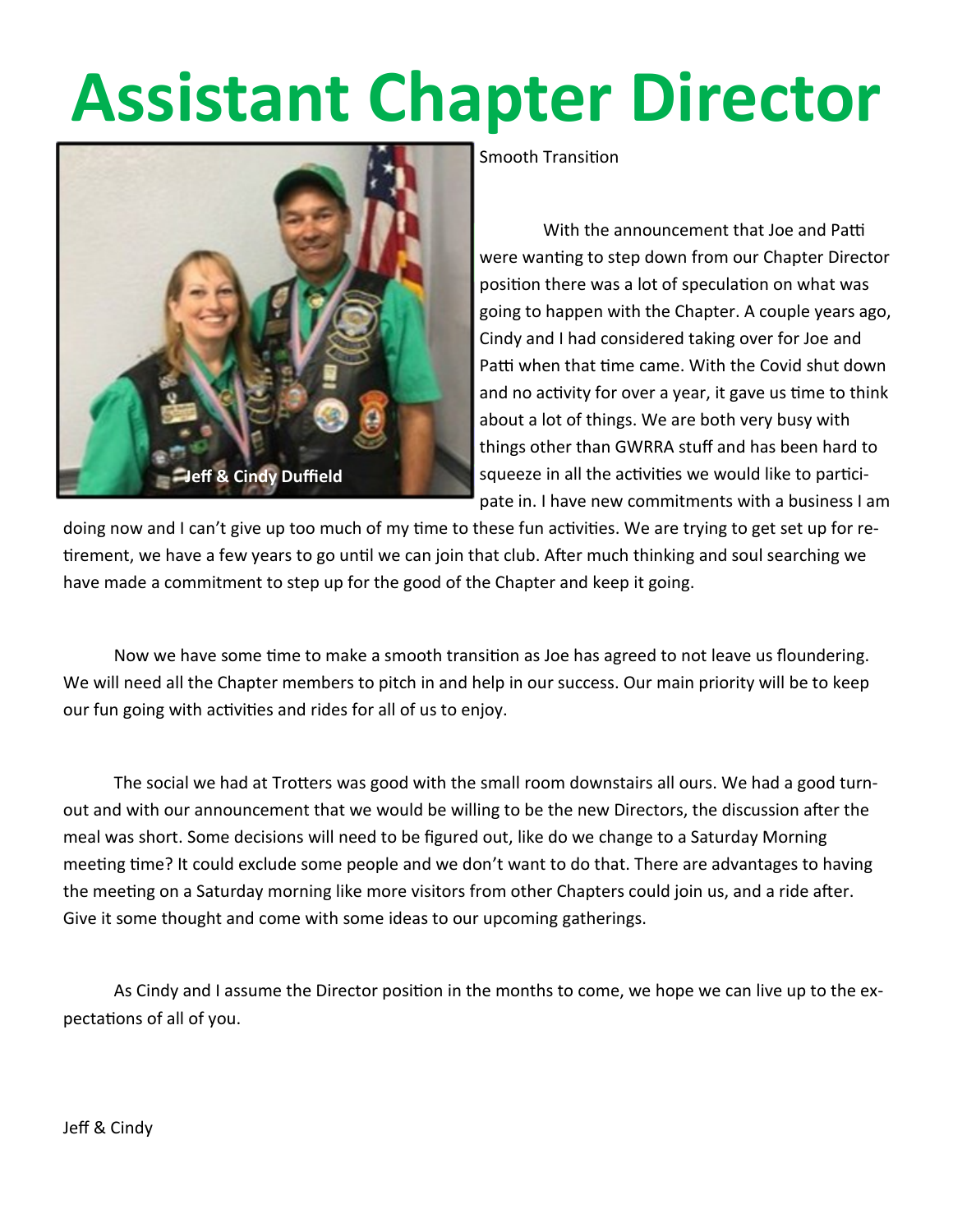# **Assistant Chapter Director**



Smooth Transition

 With the announcement that Joe and Patti were wanting to step down from our Chapter Director position there was a lot of speculation on what was going to happen with the Chapter. A couple years ago, Cindy and I had considered taking over for Joe and Patti when that time came. With the Covid shut down and no activity for over a year, it gave us time to think about a lot of things. We are both very busy with things other than GWRRA stuff and has been hard to squeeze in all the activities we would like to participate in. I have new commitments with a business I am

doing now and I can't give up too much of my time to these fun activities. We are trying to get set up for retirement, we have a few years to go until we can join that club. After much thinking and soul searching we have made a commitment to step up for the good of the Chapter and keep it going.

 Now we have some time to make a smooth transition as Joe has agreed to not leave us floundering. We will need all the Chapter members to pitch in and help in our success. Our main priority will be to keep our fun going with activities and rides for all of us to enjoy.

 The social we had at Trotters was good with the small room downstairs all ours. We had a good turnout and with our announcement that we would be willing to be the new Directors, the discussion after the meal was short. Some decisions will need to be figured out, like do we change to a Saturday Morning meeting time? It could exclude some people and we don't want to do that. There are advantages to having the meeting on a Saturday morning like more visitors from other Chapters could join us, and a ride after. Give it some thought and come with some ideas to our upcoming gatherings.

 As Cindy and I assume the Director position in the months to come, we hope we can live up to the expectations of all of you.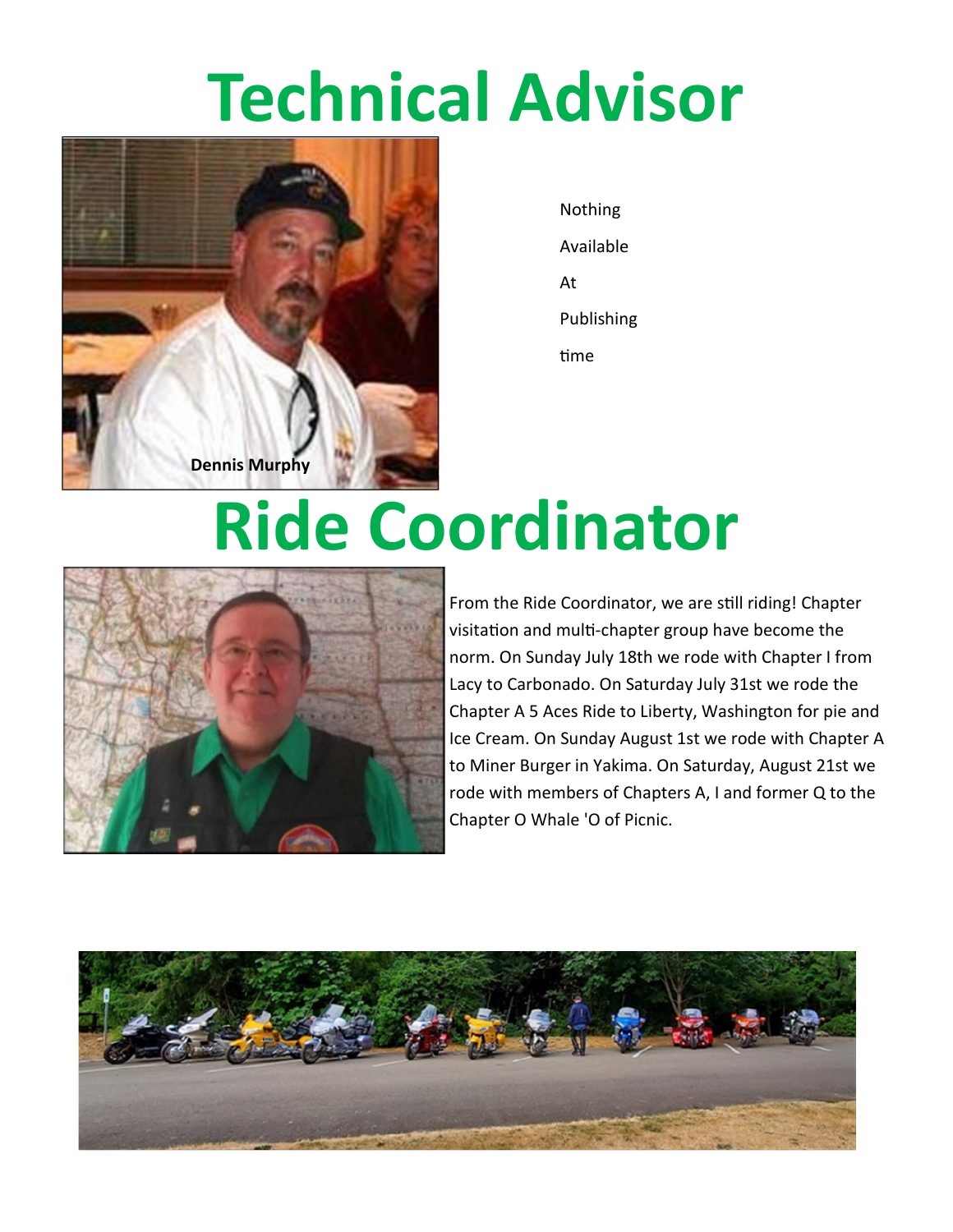## **Technical Advisor**



Nothing Available At Publishing time

### **Ride Coordinator**



From the Ride Coordinator, we are still riding! Chapter visitation and multi-chapter group have become the norm. On Sunday July 18th we rode with Chapter I from Lacy to Carbonado. On Saturday July 31st we rode the Chapter A 5 Aces Ride to Liberty, Washington for pie and Ice Cream. On Sunday August 1st we rode with Chapter A to Miner Burger in Yakima. On Saturday, August 21st we rode with members of Chapters A, I and former Q to the Chapter O Whale 'O of Picnic.

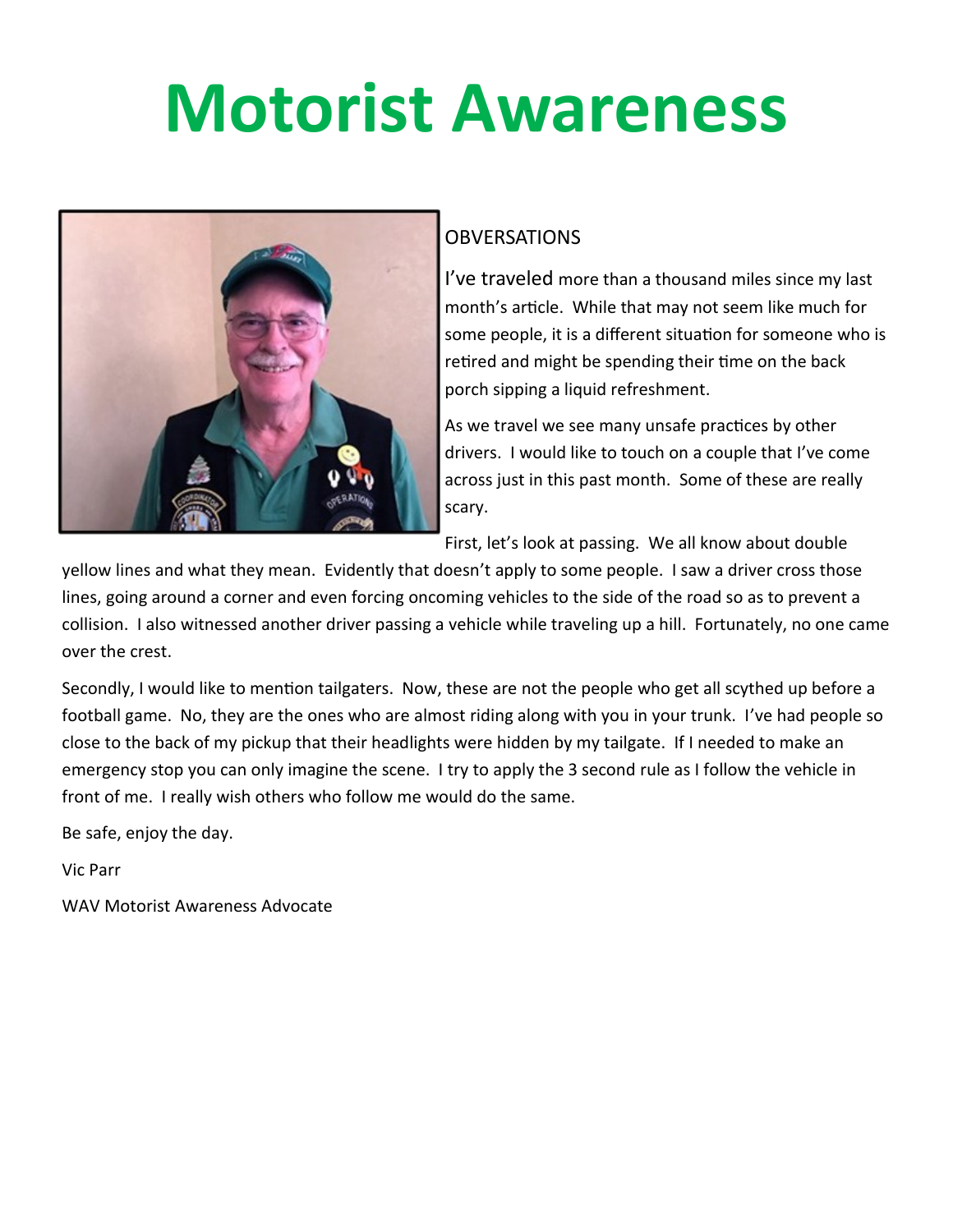## **Motorist Awareness**



#### **OBVERSATIONS**

I've traveled more than a thousand miles since my last month's article. While that may not seem like much for some people, it is a different situation for someone who is retired and might be spending their time on the back porch sipping a liquid refreshment.

As we travel we see many unsafe practices by other drivers. I would like to touch on a couple that I've come across just in this past month. Some of these are really scary.

First, let's look at passing. We all know about double

yellow lines and what they mean. Evidently that doesn't apply to some people. I saw a driver cross those lines, going around a corner and even forcing oncoming vehicles to the side of the road so as to prevent a collision. I also witnessed another driver passing a vehicle while traveling up a hill. Fortunately, no one came over the crest.

Secondly, I would like to mention tailgaters. Now, these are not the people who get all scythed up before a football game. No, they are the ones who are almost riding along with you in your trunk. I've had people so close to the back of my pickup that their headlights were hidden by my tailgate. If I needed to make an emergency stop you can only imagine the scene. I try to apply the 3 second rule as I follow the vehicle in front of me. I really wish others who follow me would do the same.

Be safe, enjoy the day.

Vic Parr

WAV Motorist Awareness Advocate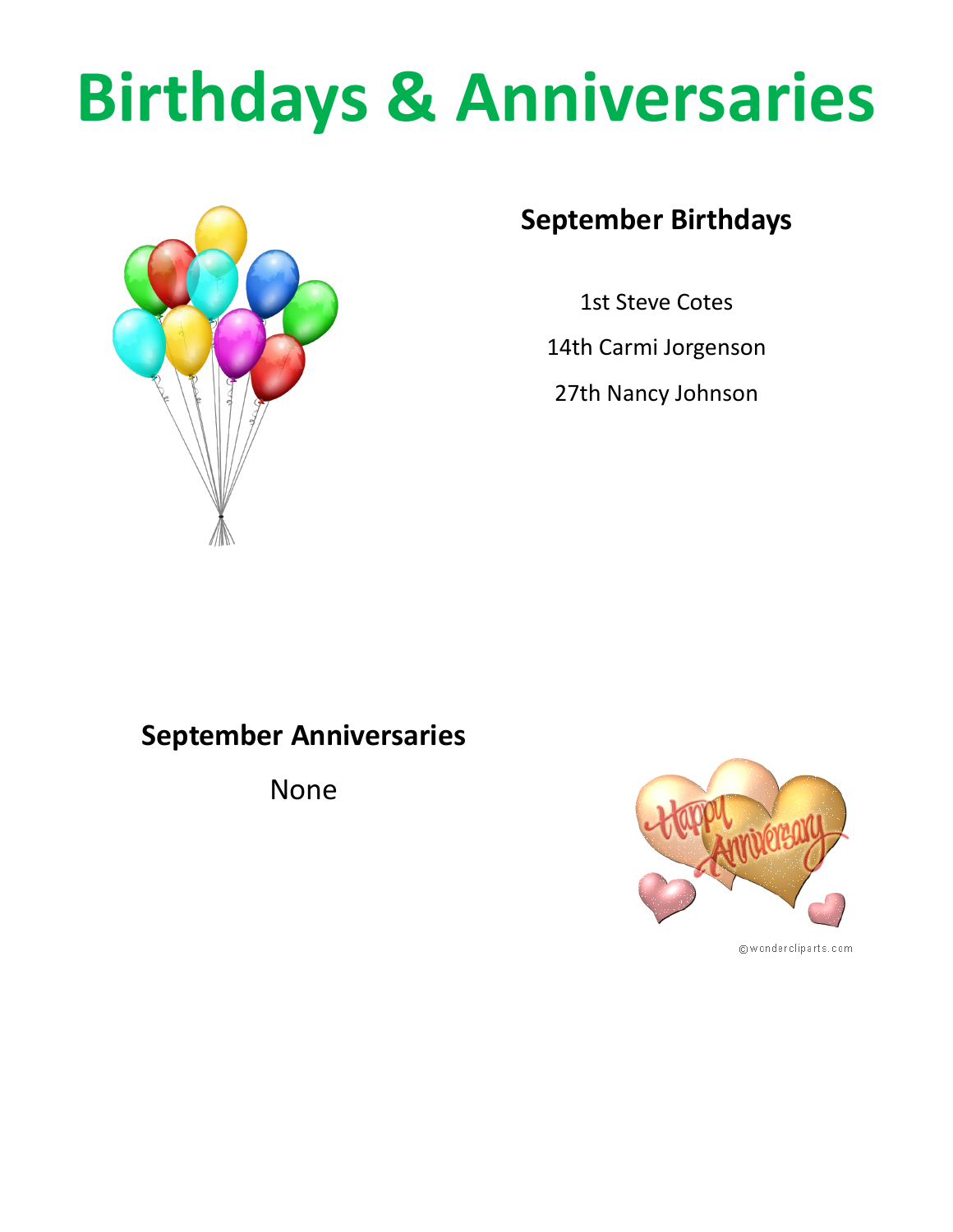# **Birthdays & Anniversaries**



#### **September Birthdays**

1st Steve Cotes

14th Carmi Jorgenson

27th Nancy Johnson

#### **September Anniversaries**

None



@wondercliparts.com